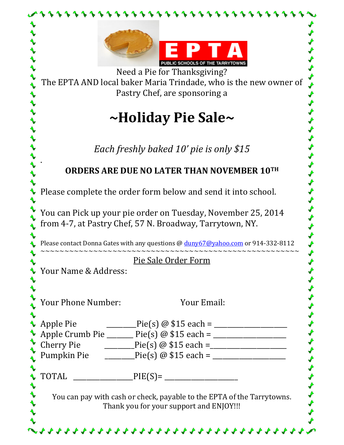|           | <b>IBLIC SCHOOLS OF THE TARRYTOWN</b>                                                                                                                                                                                                                                         |  |  |  |
|-----------|-------------------------------------------------------------------------------------------------------------------------------------------------------------------------------------------------------------------------------------------------------------------------------|--|--|--|
|           | Need a Pie for Thanksgiving?                                                                                                                                                                                                                                                  |  |  |  |
|           | The EPTA AND local baker Maria Trindade, who is the new owner of<br>Pastry Chef, are sponsoring a                                                                                                                                                                             |  |  |  |
|           | ~Holiday Pie Sale~                                                                                                                                                                                                                                                            |  |  |  |
|           | Each freshly baked 10' pie is only \$15                                                                                                                                                                                                                                       |  |  |  |
|           | ORDERS ARE DUE NO LATER THAN NOVEMBER 10TH                                                                                                                                                                                                                                    |  |  |  |
|           | Please complete the order form below and send it into school.<br>You can Pick up your pie order on Tuesday, November 25, 2014<br>from 4-7, at Pastry Chef, 57 N. Broadway, Tarrytown, NY.<br>Please contact Donna Gates with any questions @ duny67@yahoo.com or 914-332-8112 |  |  |  |
|           |                                                                                                                                                                                                                                                                               |  |  |  |
|           |                                                                                                                                                                                                                                                                               |  |  |  |
|           | Pie Sale Order Form<br>V Your Name & Address:                                                                                                                                                                                                                                 |  |  |  |
|           |                                                                                                                                                                                                                                                                               |  |  |  |
|           | <b>Your Phone Number:</b><br>Your Email:                                                                                                                                                                                                                                      |  |  |  |
| Apple Pie |                                                                                                                                                                                                                                                                               |  |  |  |
|           | $Pie(s) @ $15 each =$<br>Apple Crumb Pie ______ Pie(s) $@$ \$15 each = _________________                                                                                                                                                                                      |  |  |  |
|           | <b>Cherry Pie</b><br>$Pie(s) @ $15 each =$                                                                                                                                                                                                                                    |  |  |  |
|           |                                                                                                                                                                                                                                                                               |  |  |  |